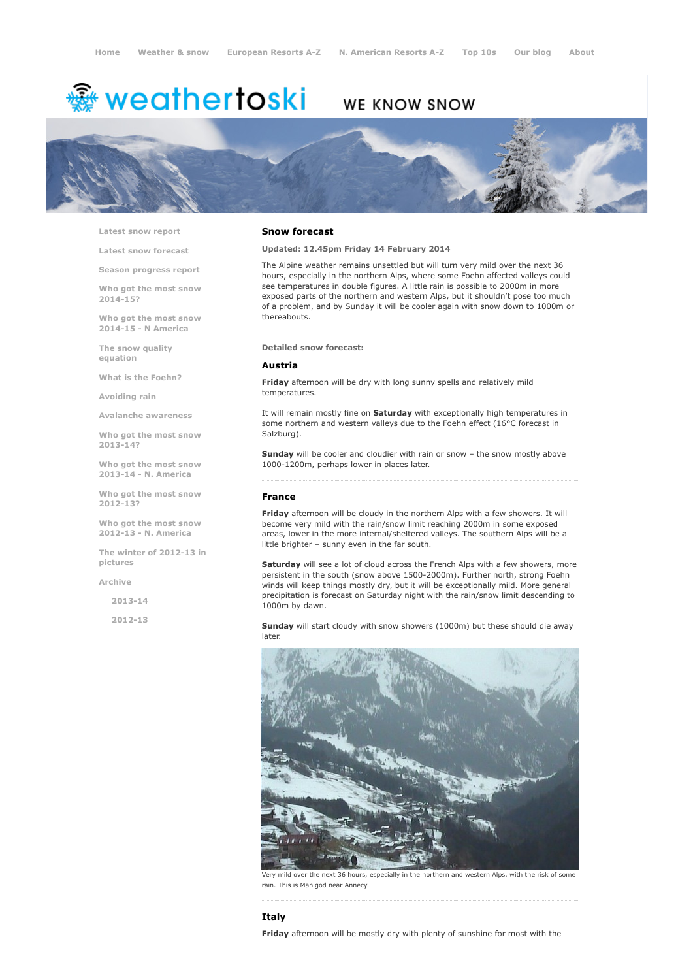# <del>鑾</del> weathertoski

# WE KNOW SNOW



Latest snow [report](http://www.weathertoski.co.uk/weather-snow/latest-snow-report/)

Latest snow [forecast](http://www.weathertoski.co.uk/weather-snow/latest-snow-forecast/)

Season [progress](http://www.weathertoski.co.uk/weather-snow/season-progress-report/) report

Who got the most snow 2014-15?

Who got the most snow 2014-15 - N America

The snow quality [equation](http://www.weathertoski.co.uk/weather-snow/the-snow-quality-equation/)

What is the [Foehn?](http://www.weathertoski.co.uk/weather-snow/what-is-the-foehn/)

[Avoiding](http://www.weathertoski.co.uk/weather-snow/avoiding-rain/) rain

Avalanche [awareness](http://www.weathertoski.co.uk/weather-snow/avalanche-awareness/)

Who got the most snow 2013-14?

Who got the most snow 2013-14 - N. America

Who got the most snow 2012-13?

Who got the most snow 2012-13 - N. America

The winter of 2012-13 in pictures

[Archive](http://www.weathertoski.co.uk/weather-snow/archive/)

2013-14

2012-13

### Snow forecast

Updated: 12.45pm Friday 14 February 2014

The Alpine weather remains unsettled but will turn very mild over the next 36 hours, especially in the northern Alps, where some Foehn affected valleys could see temperatures in double figures. A little rain is possible to 2000m in more exposed parts of the northern and western Alps, but it shouldn't pose too much of a problem, and by Sunday it will be cooler again with snow down to 1000m or thereabouts.

#### Detailed snow forecast:

# Austria

Friday afternoon will be dry with long sunny spells and relatively mild temperatures.

It will remain mostly fine on Saturday with exceptionally high temperatures in some northern and western valleys due to the Foehn effect (16°C forecast in Salzburg).

Sunday will be cooler and cloudier with rain or snow – the snow mostly above 1000-1200m, perhaps lower in places later.

# France

Friday afternoon will be cloudy in the northern Alps with a few showers. It will become very mild with the rain/snow limit reaching 2000m in some exposed areas, lower in the more internal/sheltered valleys. The southern Alps will be a little brighter – sunny even in the far south.

Saturday will see a lot of cloud across the French Alps with a few showers, more persistent in the south (snow above 1500-2000m). Further north, strong Foehn winds will keep things mostly dry, but it will be exceptionally mild. More general precipitation is forecast on Saturday night with the rain/snow limit descending to 1000m by dawn.

Sunday will start cloudy with snow showers (1000m) but these should die away later.



ild over the next 36 hours, especially in the northern and western Alps, with the risk of som rain. This is Manigod near Annecy.

# Italy

Friday afternoon will be mostly dry with plenty of sunshine for most with the